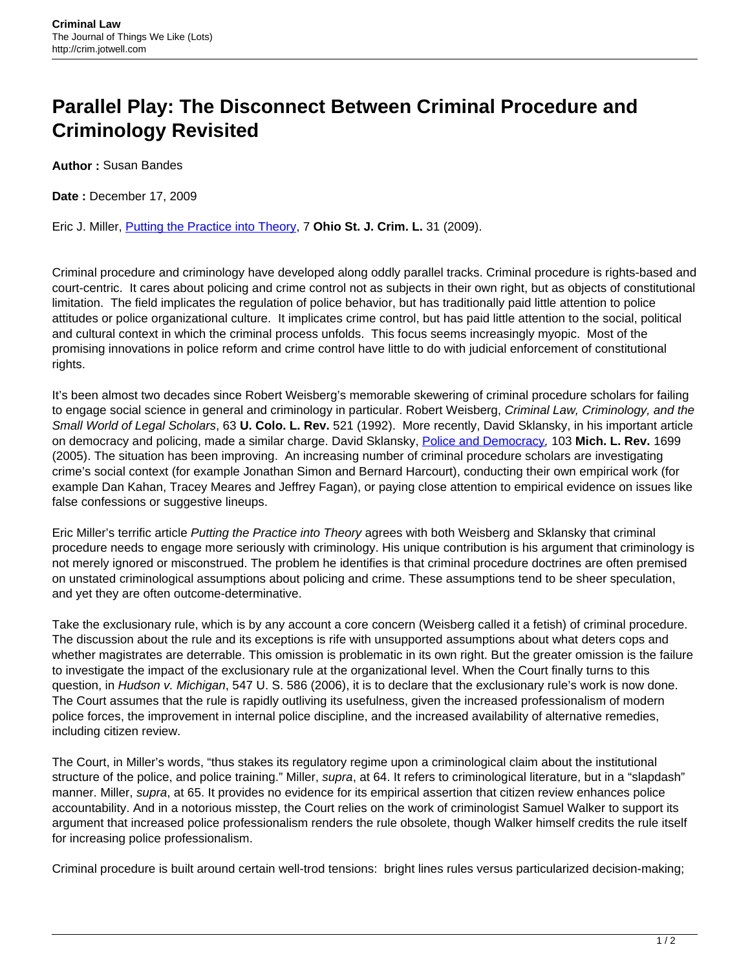## **Parallel Play: The Disconnect Between Criminal Procedure and Criminology Revisited**

**Author :** Susan Bandes

**Date :** December 17, 2009

Eric J. Miller, [Putting the Practice into Theory](http://moritzlaw.osu.edu/osjcl/Articles/Volume7_1/Miller-FinalPDF.pdf), 7 **Ohio St. J. Crim. L.** 31 (2009).

Criminal procedure and criminology have developed along oddly parallel tracks. Criminal procedure is rights-based and court-centric. It cares about policing and crime control not as subjects in their own right, but as objects of constitutional limitation. The field implicates the regulation of police behavior, but has traditionally paid little attention to police attitudes or police organizational culture. It implicates crime control, but has paid little attention to the social, political and cultural context in which the criminal process unfolds. This focus seems increasingly myopic. Most of the promising innovations in police reform and crime control have little to do with judicial enforcement of constitutional rights.

It's been almost two decades since Robert Weisberg's memorable skewering of criminal procedure scholars for failing to engage social science in general and criminology in particular. Robert Weisberg, Criminal Law, Criminology, and the Small World of Legal Scholars, 63 **U. Colo. L. Rev.** 521 (1992). More recently, David Sklansky, in his important article on democracy and policing, made a similar charge. David Sklansky, [Police and Democracy](http://papers.ssrn.com/sol3/papers.cfm?abstract_id=710701), 103 **Mich. L. Rev.** 1699 (2005). The situation has been improving. An increasing number of criminal procedure scholars are investigating crime's social context (for example Jonathan Simon and Bernard Harcourt), conducting their own empirical work (for example Dan Kahan, Tracey Meares and Jeffrey Fagan), or paying close attention to empirical evidence on issues like false confessions or suggestive lineups.

Eric Miller's terrific article Putting the Practice into Theory agrees with both Weisberg and Sklansky that criminal procedure needs to engage more seriously with criminology. His unique contribution is his argument that criminology is not merely ignored or misconstrued. The problem he identifies is that criminal procedure doctrines are often premised on unstated criminological assumptions about policing and crime. These assumptions tend to be sheer speculation, and yet they are often outcome-determinative.

Take the exclusionary rule, which is by any account a core concern (Weisberg called it a fetish) of criminal procedure. The discussion about the rule and its exceptions is rife with unsupported assumptions about what deters cops and whether magistrates are deterrable. This omission is problematic in its own right. But the greater omission is the failure to investigate the impact of the exclusionary rule at the organizational level. When the Court finally turns to this question, in Hudson v. Michigan, 547 U. S. 586 (2006), it is to declare that the exclusionary rule's work is now done. The Court assumes that the rule is rapidly outliving its usefulness, given the increased professionalism of modern police forces, the improvement in internal police discipline, and the increased availability of alternative remedies, including citizen review.

The Court, in Miller's words, "thus stakes its regulatory regime upon a criminological claim about the institutional structure of the police, and police training." Miller, supra, at 64. It refers to criminological literature, but in a "slapdash" manner. Miller, supra, at 65. It provides no evidence for its empirical assertion that citizen review enhances police accountability. And in a notorious misstep, the Court relies on the work of criminologist Samuel Walker to support its argument that increased police professionalism renders the rule obsolete, though Walker himself credits the rule itself for increasing police professionalism.

Criminal procedure is built around certain well-trod tensions: bright lines rules versus particularized decision-making;